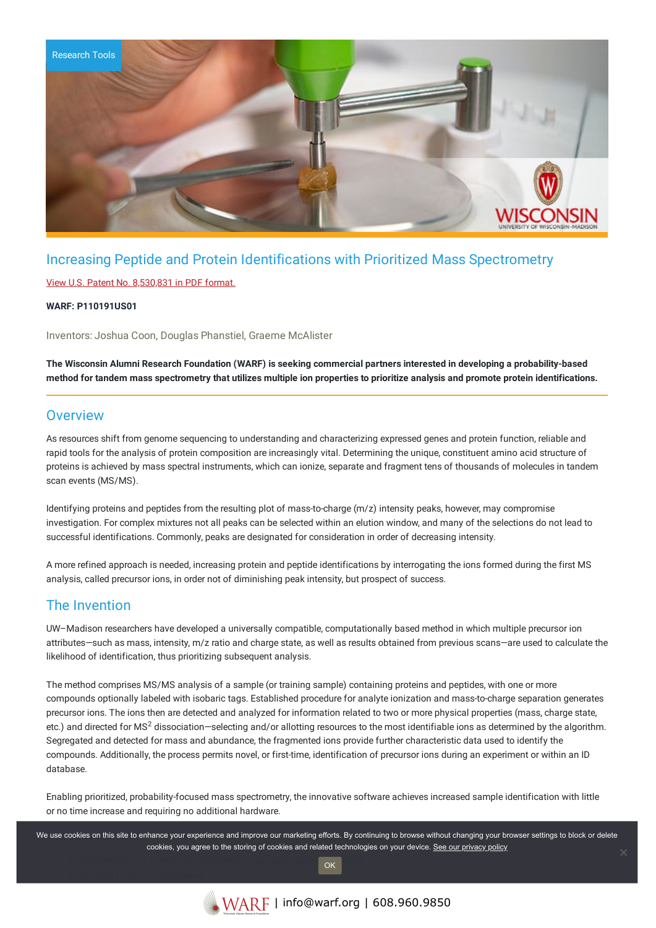

# Increasing Peptide and Protein Identifications with Prioritized Mass Spectrometry

### View U.S. Patent No. [8,530,831](https://www.warf.org/wp-content/uploads/technologies/ipstatus/P110191US01.PDF) in PDF format.

### **WARF: P110191US01**

Inventors: Joshua Coon, Douglas Phanstiel, Graeme McAlister

The Wisconsin Alumni Research Foundation (WARF) is seeking commercial partners interested in developing a probability-based method for tandem mass spectrometry that utilizes multiple ion properties to prioritize analysis and promote protein identifications.

### **Overview**

As resources shift from genome sequencing to understanding and characterizing expressed genes and protein function, reliable and rapid tools for the analysis of protein composition are increasingly vital. Determining the unique, constituent amino acid structure of proteins is achieved by mass spectral instruments, which can ionize, separate and fragment tens of thousands of molecules in tandem scan events (MS/MS).

Identifying proteins and peptides from the resulting plot of mass-to-charge (m/z) intensity peaks, however, may compromise investigation. For complex mixtures not all peaks can be selected within an elution window, and many of the selections do not lead to successful identifications. Commonly, peaks are designated for consideration in order of decreasing intensity.

A more refined approach is needed, increasing protein and peptide identifications by interrogating the ions formed during the first MS analysis, called precursor ions, in order not of diminishing peak intensity, but prospect of success.

### The Invention

UW–Madison researchers have developed a universally compatible, computationally based method in which multiple precursor ion attributes—such as mass, intensity, m/z ratio and charge state, as well as results obtained from previous scans—are used to calculate the likelihood of identification, thus prioritizing subsequent analysis.

The method comprises MS/MS analysis of a sample (or training sample) containing proteins and peptides, with one or more compounds optionally labeled with isobaric tags. Established procedure for analyte ionization and mass-to-charge separation generates precursor ions. The ions then are detected and analyzed for information related to two or more physical properties (mass, charge state, etc.) and directed for MS<sup>2</sup> dissociation–selecting and/or allotting resources to the most identifiable ions as determined by the algorithm. Segregated and detected for mass and abundance, the fragmented ions provide further characteristic data used to identify the compounds. Additionally, the process permits novel, or first-time, identification of precursor ions during an experiment or within an ID database.

Enabling prioritized, probability-focused mass spectrometry, the innovative software achieves increased sample identification with little or no time increase and requiring no additional hardware.

We use cookies on this site to enhance your experience and improve our marketing efforts. By continuing to browse without changing your browser settings to block or delete cookies, you agree to the storing of cookies and related technologies on your device. [See our privacy policy](https://www.warf.org/privacy-policy/)